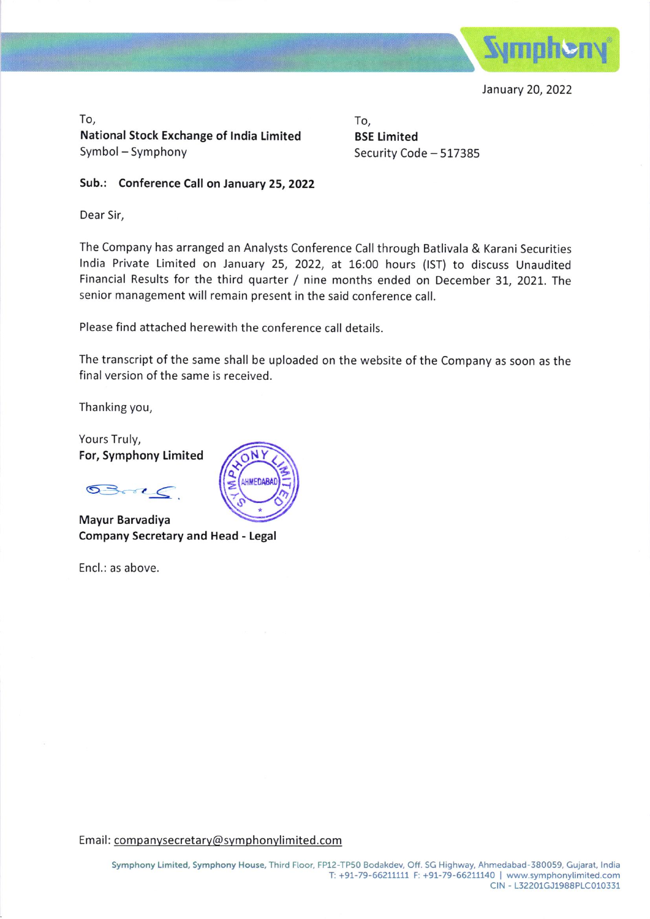

January 20, 2022

To, National Stock Exchange of lndia limited Symbol - Symphony

To, BSE Limited Security Code - 517385

Sub.: Conference Call on January 25, 2022

Dear Sir,

The Company has arranged an Analysts Conference Call through Batlivala & Karani Securities lndia Private Limited on January 25, 2022, at 16:00 hours (lST) to discuss Unaudited Financial Results for the third quarter / nine months ended on December 31, 2021. The senior management will remain present in the said conference call.

Please find attached herewith the conference call details.

The transcript of the same shall be uploaded on the website of the Company as soon as the final version of the same is received.

Thanking you,

Yours Truly, For, Symphony Limited

 $0302$ 

Mayur Barvadiya Company Secretary and Head - Legal

Encl.: as above.



Email: companysecretary@symphonylimited.com